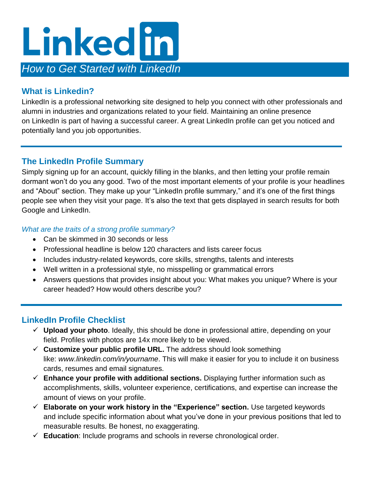

### **What is Linkedin?**

LinkedIn is a professional networking site designed to help you connect with other professionals and alumni in industries and organizations related to your field. Maintaining an online presence on [LinkedIn](http://www.linkedin.com/) is part of having a successful career. A great LinkedIn profile can get you noticed and potentially [land you job opportunities.](https://www.cnbc.com/2019/01/02/this-1-new-linkedin-feature-can-help-you-find-your-dream-job.html)

# **The LinkedIn Profile Summary**

Simply signing up for an account, quickly filling in the blanks, and then letting your profile remain dormant won't do you any good. Two of the most important elements of your profile is your headlines and "About" section. They make up your "LinkedIn profile summary," and it's one of the first things people see when they visit your page. It's also the text that gets displayed in search results for both Google and LinkedIn.

#### *What are the traits of a strong profile summary?*

- Can be skimmed in 30 seconds or less
- Professional headline is below 120 characters and lists career focus
- Includes industry-related keywords, core skills, strengths, talents and interests
- Well written in a professional style, no misspelling or grammatical errors
- Answers questions that provides insight about you: What makes you unique? Where is your career headed? How would others describe you?

### **LinkedIn Profile Checklist**

- **Upload your photo**. Ideally, this should be done in professional attire, depending on your field. Profiles with photos are 14x more likely to be viewed.
- $\checkmark$  Customize your public profile URL. The address should look something like: *www.linkedin.com/in/yourname*. This will make it easier for you to include it on business cards, resumes and email signatures.
- **Enhance your profile with additional sections.** Displaying further information such as accomplishments, skills, volunteer experience, certifications, and expertise can increase the amount of views on your profile.
- **Elaborate on your work history in the "Experience" section.** Use targeted keywords and [include specific information](https://www.cnbc.com/2019/07/10/an-example-of-the-perfect-resume-according-to-harvard-career-experts.html) about what you've done in your previous positions that led to measurable results. Be honest, no exaggerating.
- **Education**: Include programs and schools in reverse chronological order.